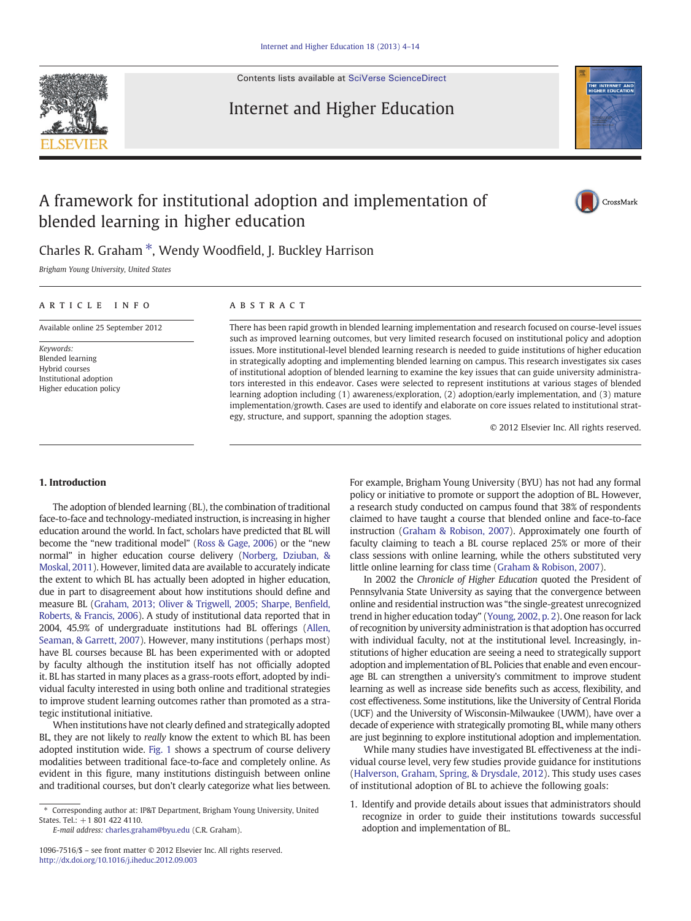Contents lists available at [SciVerse ScienceDirect](http://www.sciencedirect.com/science/journal/10967516)



# Internet and Higher Education



# A framework for institutional adoption and implementation of blended learning in higher education



Charles R. Graham<sup>\*</sup>, Wendy Woodfield, J. Buckley Harrison

Brigham Young University, United States

# ARTICLE INFO ABSTRACT

Available online 25 September 2012

Keywords: Blended learning Hybrid courses Institutional adoption Higher education policy

There has been rapid growth in blended learning implementation and research focused on course-level issues such as improved learning outcomes, but very limited research focused on institutional policy and adoption issues. More institutional-level blended learning research is needed to guide institutions of higher education in strategically adopting and implementing blended learning on campus. This research investigates six cases of institutional adoption of blended learning to examine the key issues that can guide university administrators interested in this endeavor. Cases were selected to represent institutions at various stages of blended learning adoption including (1) awareness/exploration, (2) adoption/early implementation, and (3) mature implementation/growth. Cases are used to identify and elaborate on core issues related to institutional strategy, structure, and support, spanning the adoption stages.

© 2012 Elsevier Inc. All rights reserved.

# 1. Introduction

The adoption of blended learning (BL), the combination of traditional face-to-face and technology-mediated instruction, is increasing in higher education around the world. In fact, scholars have predicted that BL will become the "new traditional model" [\(Ross & Gage, 2006\)](#page-9-0) or the "new normal" in higher education course delivery [\(Norberg, Dziuban, &](#page-9-0) [Moskal, 2011\)](#page-9-0). However, limited data are available to accurately indicate the extent to which BL has actually been adopted in higher education, due in part to disagreement about how institutions should define and measure BL [\(Graham, 2013; Oliver & Trigwell, 2005; Sharpe, Ben](#page-9-0)field, [Roberts, & Francis, 2006\)](#page-9-0). A study of institutional data reported that in 2004, 45.9% of undergraduate institutions had BL offerings ([Allen,](#page-9-0) [Seaman, & Garrett, 2007\)](#page-9-0). However, many institutions (perhaps most) have BL courses because BL has been experimented with or adopted by faculty although the institution itself has not officially adopted it. BL has started in many places as a grass-roots effort, adopted by individual faculty interested in using both online and traditional strategies to improve student learning outcomes rather than promoted as a strategic institutional initiative.

When institutions have not clearly defined and strategically adopted BL, they are not likely to really know the extent to which BL has been adopted institution wide. [Fig. 1](#page-1-0) shows a spectrum of course delivery modalities between traditional face-to-face and completely online. As evident in this figure, many institutions distinguish between online and traditional courses, but don't clearly categorize what lies between.

E-mail address: [charles.graham@byu.edu](mailto:charles.graham@byu.edu) (C.R. Graham).

For example, Brigham Young University (BYU) has not had any formal policy or initiative to promote or support the adoption of BL. However, a research study conducted on campus found that 38% of respondents claimed to have taught a course that blended online and face-to-face instruction [\(Graham & Robison, 2007](#page-9-0)). Approximately one fourth of faculty claiming to teach a BL course replaced 25% or more of their class sessions with online learning, while the others substituted very little online learning for class time ([Graham & Robison, 2007](#page-9-0)).

In 2002 the Chronicle of Higher Education quoted the President of Pennsylvania State University as saying that the convergence between online and residential instruction was "the single-greatest unrecognized trend in higher education today" [\(Young, 2002, p. 2](#page-10-0)). One reason for lack of recognition by university administration is that adoption has occurred with individual faculty, not at the institutional level. Increasingly, institutions of higher education are seeing a need to strategically support adoption and implementation of BL. Policies that enable and even encourage BL can strengthen a university's commitment to improve student learning as well as increase side benefits such as access, flexibility, and cost effectiveness. Some institutions, like the University of Central Florida (UCF) and the University of Wisconsin-Milwaukee (UWM), have over a decade of experience with strategically promoting BL, while many others are just beginning to explore institutional adoption and implementation.

While many studies have investigated BL effectiveness at the individual course level, very few studies provide guidance for institutions [\(Halverson, Graham, Spring, & Drysdale, 2012\)](#page-9-0). This study uses cases of institutional adoption of BL to achieve the following goals:

1. Identify and provide details about issues that administrators should recognize in order to guide their institutions towards successful adoption and implementation of BL.

<sup>⁎</sup> Corresponding author at: IP&T Department, Brigham Young University, United States. Tel.: +1 801 422 4110.

<sup>1096-7516/\$</sup> – see front matter © 2012 Elsevier Inc. All rights reserved. <http://dx.doi.org/10.1016/j.iheduc.2012.09.003>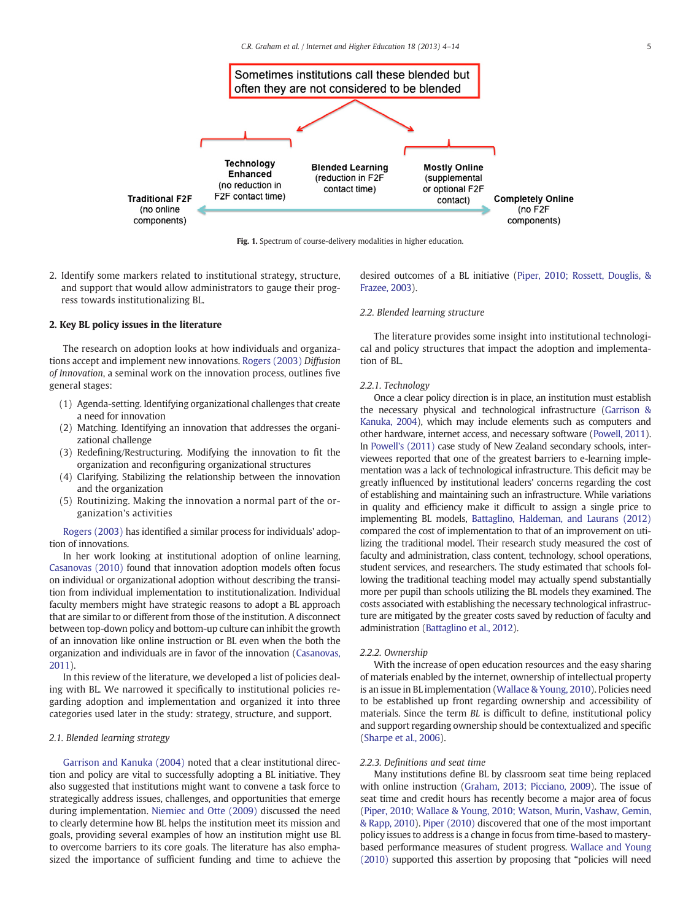<span id="page-1-0"></span>

Fig. 1. Spectrum of course-delivery modalities in higher education.

2. Identify some markers related to institutional strategy, structure, and support that would allow administrators to gauge their progress towards institutionalizing BL.

#### 2. Key BL policy issues in the literature

The research on adoption looks at how individuals and organizations accept and implement new innovations. [Rogers \(2003\)](#page-9-0) Diffusion of Innovation, a seminal work on the innovation process, outlines five general stages:

- (1) Agenda-setting. Identifying organizational challenges that create a need for innovation
- (2) Matching. Identifying an innovation that addresses the organizational challenge
- (3) Redefining/Restructuring. Modifying the innovation to fit the organization and reconfiguring organizational structures
- (4) Clarifying. Stabilizing the relationship between the innovation and the organization
- (5) Routinizing. Making the innovation a normal part of the organization's activities

[Rogers \(2003\)](#page-9-0) has identified a similar process for individuals' adoption of innovations.

In her work looking at institutional adoption of online learning, [Casanovas \(2010\)](#page-9-0) found that innovation adoption models often focus on individual or organizational adoption without describing the transition from individual implementation to institutionalization. Individual faculty members might have strategic reasons to adopt a BL approach that are similar to or different from those of the institution. A disconnect between top-down policy and bottom-up culture can inhibit the growth of an innovation like online instruction or BL even when the both the organization and individuals are in favor of the innovation [\(Casanovas,](#page-9-0) [2011](#page-9-0)).

In this review of the literature, we developed a list of policies dealing with BL. We narrowed it specifically to institutional policies regarding adoption and implementation and organized it into three categories used later in the study: strategy, structure, and support.

## 2.1. Blended learning strategy

[Garrison and Kanuka \(2004\)](#page-9-0) noted that a clear institutional direction and policy are vital to successfully adopting a BL initiative. They also suggested that institutions might want to convene a task force to strategically address issues, challenges, and opportunities that emerge during implementation. [Niemiec and Otte \(2009\)](#page-9-0) discussed the need to clearly determine how BL helps the institution meet its mission and goals, providing several examples of how an institution might use BL to overcome barriers to its core goals. The literature has also emphasized the importance of sufficient funding and time to achieve the desired outcomes of a BL initiative [\(Piper, 2010; Rossett, Douglis, &](#page-9-0) [Frazee, 2003\)](#page-9-0).

#### 2.2. Blended learning structure

The literature provides some insight into institutional technological and policy structures that impact the adoption and implementation of BL.

#### 2.2.1. Technology

Once a clear policy direction is in place, an institution must establish the necessary physical and technological infrastructure ([Garrison &](#page-9-0) [Kanuka, 2004](#page-9-0)), which may include elements such as computers and other hardware, internet access, and necessary software ([Powell, 2011](#page-9-0)). In [Powell's \(2011\)](#page-9-0) case study of New Zealand secondary schools, interviewees reported that one of the greatest barriers to e-learning implementation was a lack of technological infrastructure. This deficit may be greatly influenced by institutional leaders' concerns regarding the cost of establishing and maintaining such an infrastructure. While variations in quality and efficiency make it difficult to assign a single price to implementing BL models, [Battaglino, Haldeman, and Laurans \(2012\)](#page-9-0) compared the cost of implementation to that of an improvement on utilizing the traditional model. Their research study measured the cost of faculty and administration, class content, technology, school operations, student services, and researchers. The study estimated that schools following the traditional teaching model may actually spend substantially more per pupil than schools utilizing the BL models they examined. The costs associated with establishing the necessary technological infrastructure are mitigated by the greater costs saved by reduction of faculty and administration [\(Battaglino et al., 2012](#page-9-0)).

#### 2.2.2. Ownership

With the increase of open education resources and the easy sharing of materials enabled by the internet, ownership of intellectual property is an issue in BL implementation [\(Wallace & Young, 2010](#page-10-0)). Policies need to be established up front regarding ownership and accessibility of materials. Since the term BL is difficult to define, institutional policy and support regarding ownership should be contextualized and specific [\(Sharpe et al., 2006](#page-9-0)).

#### 2.2.3. Definitions and seat time

Many institutions define BL by classroom seat time being replaced with online instruction ([Graham, 2013; Picciano, 2009](#page-9-0)). The issue of seat time and credit hours has recently become a major area of focus [\(Piper, 2010; Wallace & Young, 2010; Watson, Murin, Vashaw, Gemin,](#page-9-0) [& Rapp, 2010](#page-9-0)). [Piper \(2010\)](#page-9-0) discovered that one of the most important policy issues to address is a change in focus from time-based to masterybased performance measures of student progress. [Wallace and Young](#page-10-0) [\(2010\)](#page-10-0) supported this assertion by proposing that "policies will need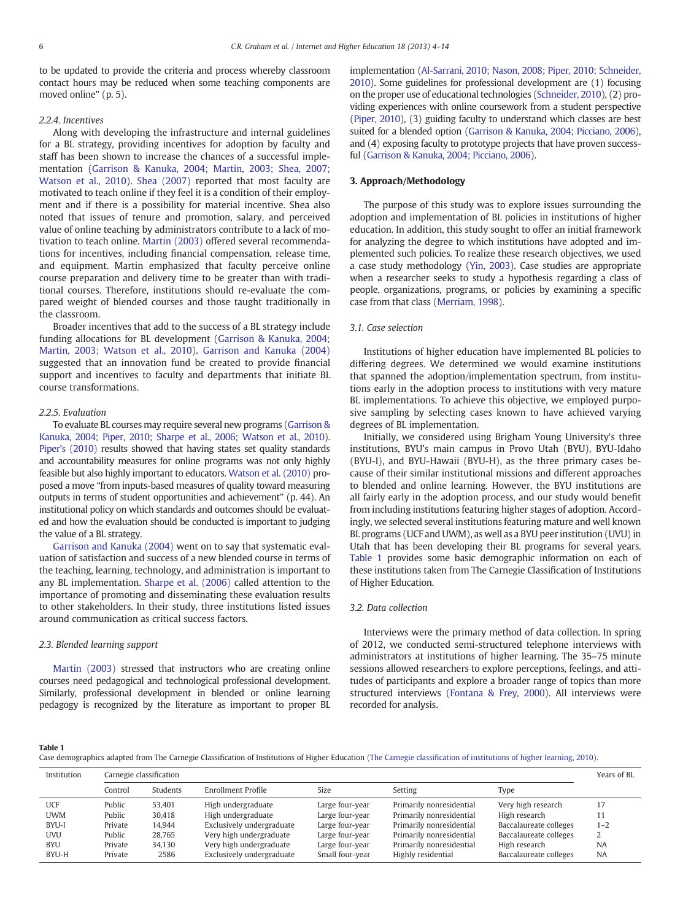to be updated to provide the criteria and process whereby classroom contact hours may be reduced when some teaching components are moved online" (p. 5).

#### 2.2.4. Incentives

Along with developing the infrastructure and internal guidelines for a BL strategy, providing incentives for adoption by faculty and staff has been shown to increase the chances of a successful implementation [\(Garrison & Kanuka, 2004; Martin, 2003; Shea, 2007;](#page-9-0) [Watson et al., 2010\)](#page-9-0). [Shea \(2007\)](#page-9-0) reported that most faculty are motivated to teach online if they feel it is a condition of their employment and if there is a possibility for material incentive. Shea also noted that issues of tenure and promotion, salary, and perceived value of online teaching by administrators contribute to a lack of motivation to teach online. [Martin \(2003\)](#page-9-0) offered several recommendations for incentives, including financial compensation, release time, and equipment. Martin emphasized that faculty perceive online course preparation and delivery time to be greater than with traditional courses. Therefore, institutions should re-evaluate the compared weight of blended courses and those taught traditionally in the classroom.

Broader incentives that add to the success of a BL strategy include funding allocations for BL development [\(Garrison & Kanuka, 2004;](#page-9-0) [Martin, 2003; Watson et al., 2010](#page-9-0)). [Garrison and Kanuka \(2004\)](#page-9-0) suggested that an innovation fund be created to provide financial support and incentives to faculty and departments that initiate BL course transformations.

# 2.2.5. Evaluation

To evaluate BL courses may require several new programs [\(Garrison &](#page-9-0) [Kanuka, 2004; Piper, 2010; Sharpe et al., 2006; Watson et al., 2010\)](#page-9-0). [Piper's \(2010\)](#page-9-0) results showed that having states set quality standards and accountability measures for online programs was not only highly feasible but also highly important to educators. [Watson et al. \(2010\)](#page-10-0) proposed a move "from inputs-based measures of quality toward measuring outputs in terms of student opportunities and achievement" (p. 44). An institutional policy on which standards and outcomes should be evaluated and how the evaluation should be conducted is important to judging the value of a BL strategy.

[Garrison and Kanuka \(2004\)](#page-9-0) went on to say that systematic evaluation of satisfaction and success of a new blended course in terms of the teaching, learning, technology, and administration is important to any BL implementation. [Sharpe et al. \(2006\)](#page-9-0) called attention to the importance of promoting and disseminating these evaluation results to other stakeholders. In their study, three institutions listed issues around communication as critical success factors.

#### 2.3. Blended learning support

[Martin \(2003\)](#page-9-0) stressed that instructors who are creating online courses need pedagogical and technological professional development. Similarly, professional development in blended or online learning pedagogy is recognized by the literature as important to proper BL implementation [\(Al-Sarrani, 2010; Nason, 2008; Piper, 2010; Schneider,](#page-9-0) [2010](#page-9-0)). Some guidelines for professional development are (1) focusing on the proper use of educational technologies [\(Schneider, 2010](#page-9-0)), (2) providing experiences with online coursework from a student perspective [\(Piper, 2010\)](#page-9-0), (3) guiding faculty to understand which classes are best suited for a blended option [\(Garrison & Kanuka, 2004; Picciano, 2006\)](#page-9-0), and (4) exposing faculty to prototype projects that have proven successful [\(Garrison & Kanuka, 2004; Picciano, 2006](#page-9-0)).

# 3. Approach/Methodology

The purpose of this study was to explore issues surrounding the adoption and implementation of BL policies in institutions of higher education. In addition, this study sought to offer an initial framework for analyzing the degree to which institutions have adopted and implemented such policies. To realize these research objectives, we used a case study methodology [\(Yin, 2003\)](#page-10-0). Case studies are appropriate when a researcher seeks to study a hypothesis regarding a class of people, organizations, programs, or policies by examining a specific case from that class [\(Merriam, 1998\)](#page-9-0).

#### 3.1. Case selection

Institutions of higher education have implemented BL policies to differing degrees. We determined we would examine institutions that spanned the adoption/implementation spectrum, from institutions early in the adoption process to institutions with very mature BL implementations. To achieve this objective, we employed purposive sampling by selecting cases known to have achieved varying degrees of BL implementation.

Initially, we considered using Brigham Young University's three institutions, BYU's main campus in Provo Utah (BYU), BYU-Idaho (BYU-I), and BYU-Hawaii (BYU-H), as the three primary cases because of their similar institutional missions and different approaches to blended and online learning. However, the BYU institutions are all fairly early in the adoption process, and our study would benefit from including institutions featuring higher stages of adoption. Accordingly, we selected several institutions featuring mature and well known BL programs (UCF and UWM), as well as a BYU peer institution (UVU) in Utah that has been developing their BL programs for several years. Table 1 provides some basic demographic information on each of these institutions taken from The Carnegie Classification of Institutions of Higher Education.

#### 3.2. Data collection

Interviews were the primary method of data collection. In spring of 2012, we conducted semi-structured telephone interviews with administrators at institutions of higher learning. The 35–75 minute sessions allowed researchers to explore perceptions, feelings, and attitudes of participants and explore a broader range of topics than more structured interviews [\(Fontana & Frey, 2000\)](#page-9-0). All interviews were recorded for analysis.

#### Table 1

Case demographics adapted from The Carnegie Classification of Institutions of Higher Education (The Carnegie classifi[cation of institutions of higher learning, 2010\)](#page-10-0).

| Institution | Carnegie classification |          |                           |                 |                          |                        | Years of BL |
|-------------|-------------------------|----------|---------------------------|-----------------|--------------------------|------------------------|-------------|
|             | Control                 | Students | Enrollment Profile        | Size            | Setting                  | Type                   |             |
| <b>UCF</b>  | Public                  | 53,401   | High undergraduate        | Large four-year | Primarily nonresidential | Very high research     | 17          |
| <b>UWM</b>  | Public                  | 30.418   | High undergraduate        | Large four-year | Primarily nonresidential | High research          |             |
| BYU-I       | Private                 | 14.944   | Exclusively undergraduate | Large four-year | Primarily nonresidential | Baccalaureate colleges | $1 - 2$     |
| UVU         | Public                  | 28.765   | Very high undergraduate   | Large four-year | Primarily nonresidential | Baccalaureate colleges |             |
| <b>BYU</b>  | Private                 | 34.130   | Very high undergraduate   | Large four-year | Primarily nonresidential | High research          | <b>NA</b>   |
| BYU-H       | Private                 | 2586     | Exclusively undergraduate | Small four-year | Highly residential       | Baccalaureate colleges | <b>NA</b>   |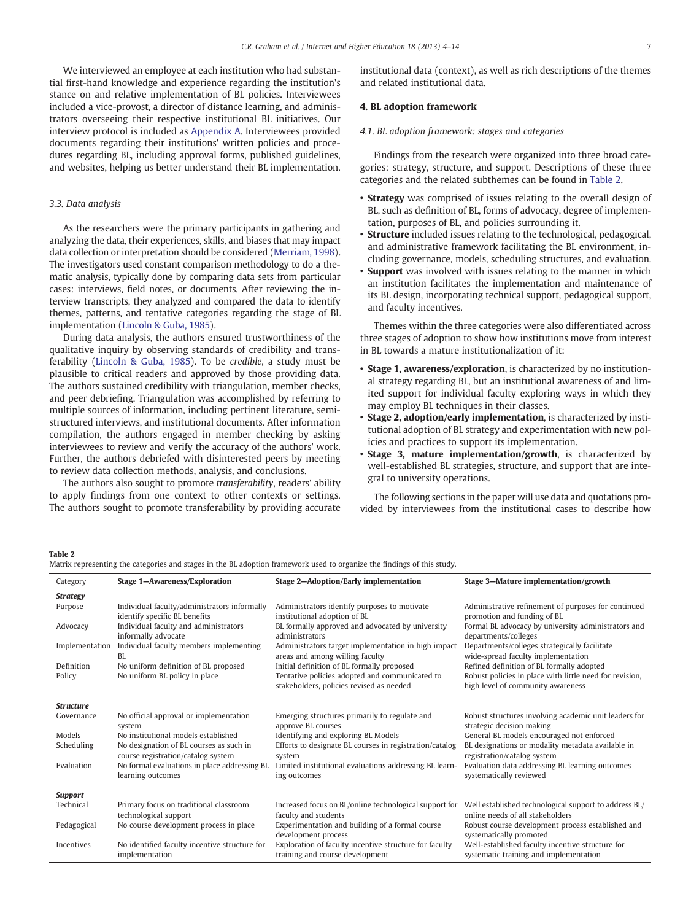We interviewed an employee at each institution who had substantial first-hand knowledge and experience regarding the institution's stance on and relative implementation of BL policies. Interviewees included a vice-provost, a director of distance learning, and administrators overseeing their respective institutional BL initiatives. Our interview protocol is included as [Appendix A](#page-7-0). Interviewees provided documents regarding their institutions' written policies and procedures regarding BL, including approval forms, published guidelines, and websites, helping us better understand their BL implementation.

### 3.3. Data analysis

As the researchers were the primary participants in gathering and analyzing the data, their experiences, skills, and biases that may impact data collection or interpretation should be considered [\(Merriam, 1998](#page-9-0)). The investigators used constant comparison methodology to do a thematic analysis, typically done by comparing data sets from particular cases: interviews, field notes, or documents. After reviewing the interview transcripts, they analyzed and compared the data to identify themes, patterns, and tentative categories regarding the stage of BL implementation [\(Lincoln & Guba, 1985\)](#page-9-0).

During data analysis, the authors ensured trustworthiness of the qualitative inquiry by observing standards of credibility and transferability [\(Lincoln & Guba, 1985](#page-9-0)). To be credible, a study must be plausible to critical readers and approved by those providing data. The authors sustained credibility with triangulation, member checks, and peer debriefing. Triangulation was accomplished by referring to multiple sources of information, including pertinent literature, semistructured interviews, and institutional documents. After information compilation, the authors engaged in member checking by asking interviewees to review and verify the accuracy of the authors' work. Further, the authors debriefed with disinterested peers by meeting to review data collection methods, analysis, and conclusions.

The authors also sought to promote transferability, readers' ability to apply findings from one context to other contexts or settings. The authors sought to promote transferability by providing accurate institutional data (context), as well as rich descriptions of the themes and related institutional data.

#### 4. BL adoption framework

### 4.1. BL adoption framework: stages and categories

Findings from the research were organized into three broad categories: strategy, structure, and support. Descriptions of these three categories and the related subthemes can be found in Table 2.

- Strategy was comprised of issues relating to the overall design of BL, such as definition of BL, forms of advocacy, degree of implementation, purposes of BL, and policies surrounding it.
- Structure included issues relating to the technological, pedagogical, and administrative framework facilitating the BL environment, including governance, models, scheduling structures, and evaluation.
- Support was involved with issues relating to the manner in which an institution facilitates the implementation and maintenance of its BL design, incorporating technical support, pedagogical support, and faculty incentives.

Themes within the three categories were also differentiated across three stages of adoption to show how institutions move from interest in BL towards a mature institutionalization of it:

- Stage 1, awareness/exploration, is characterized by no institutional strategy regarding BL, but an institutional awareness of and limited support for individual faculty exploring ways in which they may employ BL techniques in their classes.
- Stage 2, adoption/early implementation, is characterized by institutional adoption of BL strategy and experimentation with new policies and practices to support its implementation.
- Stage 3, mature implementation/growth, is characterized by well-established BL strategies, structure, and support that are integral to university operations.

The following sections in the paper will use data and quotations provided by interviewees from the institutional cases to describe how

Table 2

Matrix representing the categories and stages in the BL adoption framework used to organize the findings of this study.

| Category         | Stage 1-Awareness/Exploration                 | Stage 2-Adoption/Early implementation                                                      | Stage 3-Mature implementation/growth                                                         |
|------------------|-----------------------------------------------|--------------------------------------------------------------------------------------------|----------------------------------------------------------------------------------------------|
| <b>Strategy</b>  |                                               |                                                                                            |                                                                                              |
| Purpose          | Individual faculty/administrators informally  | Administrators identify purposes to motivate                                               | Administrative refinement of purposes for continued                                          |
|                  | identify specific BL benefits                 | institutional adoption of BL                                                               | promotion and funding of BL                                                                  |
| Advocacy         | Individual faculty and administrators         | BL formally approved and advocated by university                                           | Formal BL advocacy by university administrators and                                          |
|                  | informally advocate                           | administrators                                                                             | departments/colleges                                                                         |
| Implementation   | Individual faculty members implementing       | Administrators target implementation in high impact                                        | Departments/colleges strategically facilitate                                                |
|                  | BI.                                           | areas and among willing faculty                                                            | wide-spread faculty implementation                                                           |
| Definition       | No uniform definition of BL proposed          | Initial definition of BL formally proposed                                                 | Refined definition of BL formally adopted                                                    |
| Policy           | No uniform BL policy in place                 | Tentative policies adopted and communicated to<br>stakeholders, policies revised as needed | Robust policies in place with little need for revision,<br>high level of community awareness |
| <b>Structure</b> |                                               |                                                                                            |                                                                                              |
| Governance       | No official approval or implementation        | Emerging structures primarily to regulate and                                              | Robust structures involving academic unit leaders for                                        |
|                  | system                                        | approve BL courses                                                                         | strategic decision making                                                                    |
| Models           | No institutional models established           | Identifying and exploring BL Models                                                        | General BL models encouraged not enforced                                                    |
| Scheduling       | No designation of BL courses as such in       | Efforts to designate BL courses in registration/catalog                                    | BL designations or modality metadata available in                                            |
|                  | course registration/catalog system            | system                                                                                     | registration/catalog system                                                                  |
| Evaluation       | No formal evaluations in place addressing BL  | Limited institutional evaluations addressing BL learn-                                     | Evaluation data addressing BL learning outcomes                                              |
|                  | learning outcomes                             | ing outcomes                                                                               | systematically reviewed                                                                      |
| <b>Support</b>   |                                               |                                                                                            |                                                                                              |
| Technical        | Primary focus on traditional classroom        | Increased focus on BL/online technological support for                                     | Well established technological support to address BL/                                        |
|                  | technological support                         | faculty and students                                                                       | online needs of all stakeholders                                                             |
| Pedagogical      | No course development process in place        | Experimentation and building of a formal course<br>development process                     | Robust course development process established and<br>systematically promoted                 |
| Incentives       | No identified faculty incentive structure for | Exploration of faculty incentive structure for faculty                                     | Well-established faculty incentive structure for                                             |
|                  | implementation                                | training and course development                                                            | systematic training and implementation                                                       |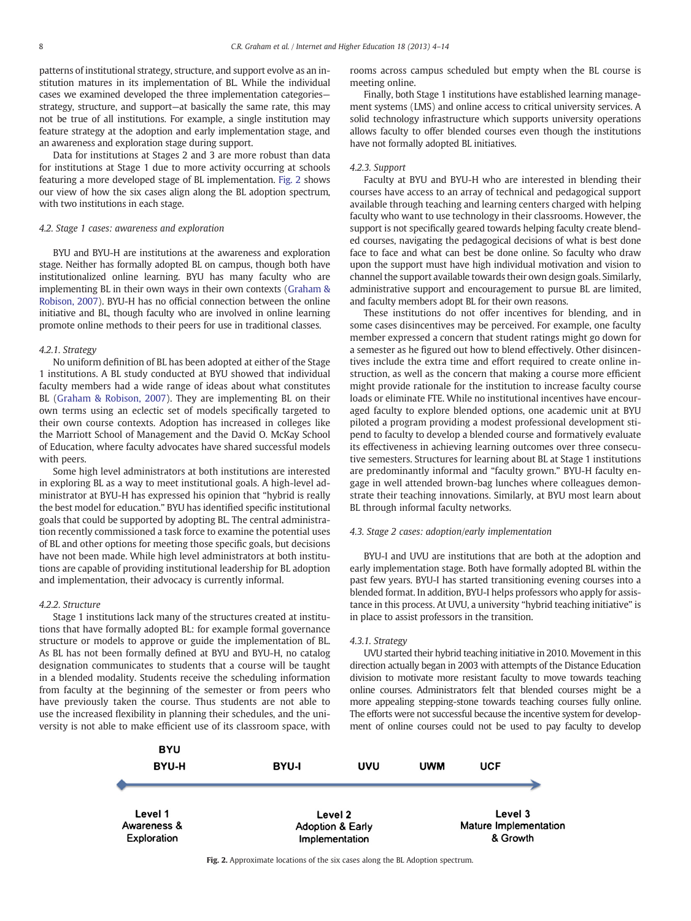patterns of institutional strategy, structure, and support evolve as an institution matures in its implementation of BL. While the individual cases we examined developed the three implementation categories strategy, structure, and support—at basically the same rate, this may not be true of all institutions. For example, a single institution may feature strategy at the adoption and early implementation stage, and an awareness and exploration stage during support.

Data for institutions at Stages 2 and 3 are more robust than data for institutions at Stage 1 due to more activity occurring at schools featuring a more developed stage of BL implementation. Fig. 2 shows our view of how the six cases align along the BL adoption spectrum, with two institutions in each stage.

### 4.2. Stage 1 cases: awareness and exploration

BYU and BYU-H are institutions at the awareness and exploration stage. Neither has formally adopted BL on campus, though both have institutionalized online learning. BYU has many faculty who are implementing BL in their own ways in their own contexts [\(Graham &](#page-9-0) [Robison, 2007](#page-9-0)). BYU-H has no official connection between the online initiative and BL, though faculty who are involved in online learning promote online methods to their peers for use in traditional classes.

#### 4.2.1. Strategy

No uniform definition of BL has been adopted at either of the Stage 1 institutions. A BL study conducted at BYU showed that individual faculty members had a wide range of ideas about what constitutes BL [\(Graham & Robison, 2007](#page-9-0)). They are implementing BL on their own terms using an eclectic set of models specifically targeted to their own course contexts. Adoption has increased in colleges like the Marriott School of Management and the David O. McKay School of Education, where faculty advocates have shared successful models with peers.

Some high level administrators at both institutions are interested in exploring BL as a way to meet institutional goals. A high-level administrator at BYU-H has expressed his opinion that "hybrid is really the best model for education." BYU has identified specific institutional goals that could be supported by adopting BL. The central administration recently commissioned a task force to examine the potential uses of BL and other options for meeting those specific goals, but decisions have not been made. While high level administrators at both institutions are capable of providing institutional leadership for BL adoption and implementation, their advocacy is currently informal.

#### 4.2.2. Structure

Stage 1 institutions lack many of the structures created at institutions that have formally adopted BL: for example formal governance structure or models to approve or guide the implementation of BL. As BL has not been formally defined at BYU and BYU-H, no catalog designation communicates to students that a course will be taught in a blended modality. Students receive the scheduling information from faculty at the beginning of the semester or from peers who have previously taken the course. Thus students are not able to use the increased flexibility in planning their schedules, and the university is not able to make efficient use of its classroom space, with rooms across campus scheduled but empty when the BL course is meeting online.

Finally, both Stage 1 institutions have established learning management systems (LMS) and online access to critical university services. A solid technology infrastructure which supports university operations allows faculty to offer blended courses even though the institutions have not formally adopted BL initiatives.

#### 4.2.3. Support

Faculty at BYU and BYU-H who are interested in blending their courses have access to an array of technical and pedagogical support available through teaching and learning centers charged with helping faculty who want to use technology in their classrooms. However, the support is not specifically geared towards helping faculty create blended courses, navigating the pedagogical decisions of what is best done face to face and what can best be done online. So faculty who draw upon the support must have high individual motivation and vision to channel the support available towards their own design goals. Similarly, administrative support and encouragement to pursue BL are limited, and faculty members adopt BL for their own reasons.

These institutions do not offer incentives for blending, and in some cases disincentives may be perceived. For example, one faculty member expressed a concern that student ratings might go down for a semester as he figured out how to blend effectively. Other disincentives include the extra time and effort required to create online instruction, as well as the concern that making a course more efficient might provide rationale for the institution to increase faculty course loads or eliminate FTE. While no institutional incentives have encouraged faculty to explore blended options, one academic unit at BYU piloted a program providing a modest professional development stipend to faculty to develop a blended course and formatively evaluate its effectiveness in achieving learning outcomes over three consecutive semesters. Structures for learning about BL at Stage 1 institutions are predominantly informal and "faculty grown." BYU-H faculty engage in well attended brown-bag lunches where colleagues demonstrate their teaching innovations. Similarly, at BYU most learn about BL through informal faculty networks.

#### 4.3. Stage 2 cases: adoption/early implementation

BYU-I and UVU are institutions that are both at the adoption and early implementation stage. Both have formally adopted BL within the past few years. BYU-I has started transitioning evening courses into a blended format. In addition, BYU-I helps professors who apply for assistance in this process. At UVU, a university "hybrid teaching initiative" is in place to assist professors in the transition.

#### 4.3.1. Strategy

UVU started their hybrid teaching initiative in 2010. Movement in this direction actually began in 2003 with attempts of the Distance Education division to motivate more resistant faculty to move towards teaching online courses. Administrators felt that blended courses might be a more appealing stepping-stone towards teaching courses fully online. The efforts were not successful because the incentive system for development of online courses could not be used to pay faculty to develop

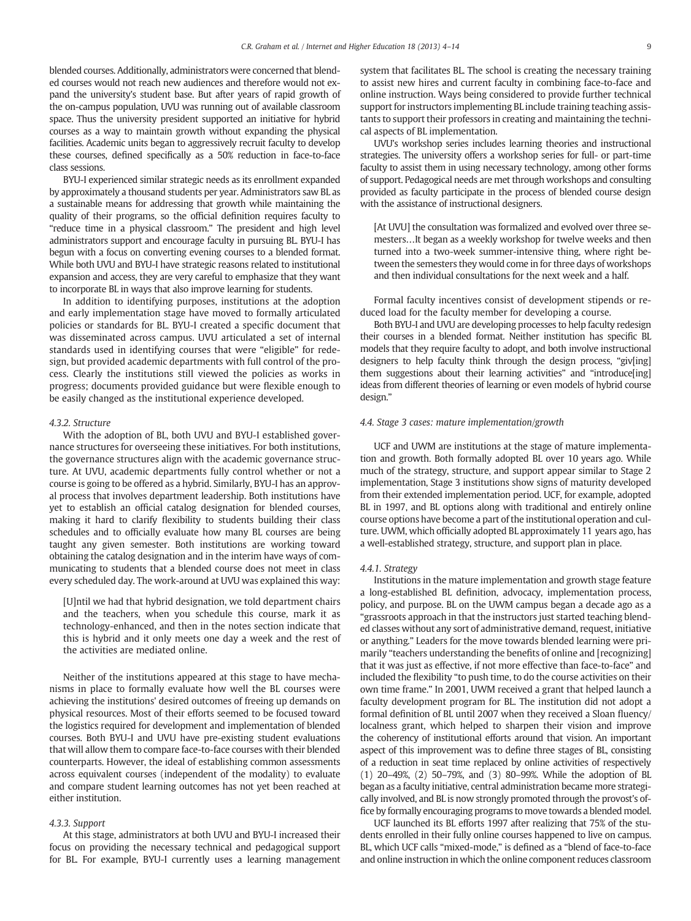blended courses. Additionally, administrators were concerned that blended courses would not reach new audiences and therefore would not expand the university's student base. But after years of rapid growth of the on-campus population, UVU was running out of available classroom space. Thus the university president supported an initiative for hybrid courses as a way to maintain growth without expanding the physical facilities. Academic units began to aggressively recruit faculty to develop these courses, defined specifically as a 50% reduction in face-to-face class sessions.

BYU-I experienced similar strategic needs as its enrollment expanded by approximately a thousand students per year. Administrators saw BL as a sustainable means for addressing that growth while maintaining the quality of their programs, so the official definition requires faculty to "reduce time in a physical classroom." The president and high level administrators support and encourage faculty in pursuing BL. BYU-I has begun with a focus on converting evening courses to a blended format. While both UVU and BYU-I have strategic reasons related to institutional expansion and access, they are very careful to emphasize that they want to incorporate BL in ways that also improve learning for students.

In addition to identifying purposes, institutions at the adoption and early implementation stage have moved to formally articulated policies or standards for BL. BYU-I created a specific document that was disseminated across campus. UVU articulated a set of internal standards used in identifying courses that were "eligible" for redesign, but provided academic departments with full control of the process. Clearly the institutions still viewed the policies as works in progress; documents provided guidance but were flexible enough to be easily changed as the institutional experience developed.

#### 4.3.2. Structure

With the adoption of BL, both UVU and BYU-I established governance structures for overseeing these initiatives. For both institutions, the governance structures align with the academic governance structure. At UVU, academic departments fully control whether or not a course is going to be offered as a hybrid. Similarly, BYU-I has an approval process that involves department leadership. Both institutions have yet to establish an official catalog designation for blended courses, making it hard to clarify flexibility to students building their class schedules and to officially evaluate how many BL courses are being taught any given semester. Both institutions are working toward obtaining the catalog designation and in the interim have ways of communicating to students that a blended course does not meet in class every scheduled day. The work-around at UVU was explained this way:

[U]ntil we had that hybrid designation, we told department chairs and the teachers, when you schedule this course, mark it as technology-enhanced, and then in the notes section indicate that this is hybrid and it only meets one day a week and the rest of the activities are mediated online.

Neither of the institutions appeared at this stage to have mechanisms in place to formally evaluate how well the BL courses were achieving the institutions' desired outcomes of freeing up demands on physical resources. Most of their efforts seemed to be focused toward the logistics required for development and implementation of blended courses. Both BYU-I and UVU have pre-existing student evaluations that will allow them to compare face-to-face courses with their blended counterparts. However, the ideal of establishing common assessments across equivalent courses (independent of the modality) to evaluate and compare student learning outcomes has not yet been reached at either institution.

# 4.3.3. Support

At this stage, administrators at both UVU and BYU-I increased their focus on providing the necessary technical and pedagogical support for BL. For example, BYU-I currently uses a learning management

system that facilitates BL. The school is creating the necessary training to assist new hires and current faculty in combining face-to-face and online instruction. Ways being considered to provide further technical support for instructors implementing BL include training teaching assistants to support their professors in creating and maintaining the technical aspects of BL implementation.

UVU's workshop series includes learning theories and instructional strategies. The university offers a workshop series for full- or part-time faculty to assist them in using necessary technology, among other forms of support. Pedagogical needs are met through workshops and consulting provided as faculty participate in the process of blended course design with the assistance of instructional designers.

[At UVU] the consultation was formalized and evolved over three semesters…It began as a weekly workshop for twelve weeks and then turned into a two-week summer-intensive thing, where right between the semesters they would come in for three days of workshops and then individual consultations for the next week and a half.

Formal faculty incentives consist of development stipends or reduced load for the faculty member for developing a course.

Both BYU-I and UVU are developing processes to help faculty redesign their courses in a blended format. Neither institution has specific BL models that they require faculty to adopt, and both involve instructional designers to help faculty think through the design process, "giv[ing] them suggestions about their learning activities" and "introduce[ing] ideas from different theories of learning or even models of hybrid course design."

#### 4.4. Stage 3 cases: mature implementation/growth

UCF and UWM are institutions at the stage of mature implementation and growth. Both formally adopted BL over 10 years ago. While much of the strategy, structure, and support appear similar to Stage 2 implementation, Stage 3 institutions show signs of maturity developed from their extended implementation period. UCF, for example, adopted BL in 1997, and BL options along with traditional and entirely online course options have become a part of the institutional operation and culture. UWM, which officially adopted BL approximately 11 years ago, has a well-established strategy, structure, and support plan in place.

#### 4.4.1. Strategy

Institutions in the mature implementation and growth stage feature a long-established BL definition, advocacy, implementation process, policy, and purpose. BL on the UWM campus began a decade ago as a "grassroots approach in that the instructors just started teaching blended classes without any sort of administrative demand, request, initiative or anything." Leaders for the move towards blended learning were primarily "teachers understanding the benefits of online and [recognizing] that it was just as effective, if not more effective than face-to-face" and included the flexibility "to push time, to do the course activities on their own time frame." In 2001, UWM received a grant that helped launch a faculty development program for BL. The institution did not adopt a formal definition of BL until 2007 when they received a Sloan fluency/ localness grant, which helped to sharpen their vision and improve the coherency of institutional efforts around that vision. An important aspect of this improvement was to define three stages of BL, consisting of a reduction in seat time replaced by online activities of respectively (1) 20–49%, (2) 50–79%, and (3) 80–99%. While the adoption of BL began as a faculty initiative, central administration became more strategically involved, and BL is now strongly promoted through the provost's office by formally encouraging programs to move towards a blended model.

UCF launched its BL efforts 1997 after realizing that 75% of the students enrolled in their fully online courses happened to live on campus. BL, which UCF calls "mixed-mode," is defined as a "blend of face-to-face and online instruction in which the online component reduces classroom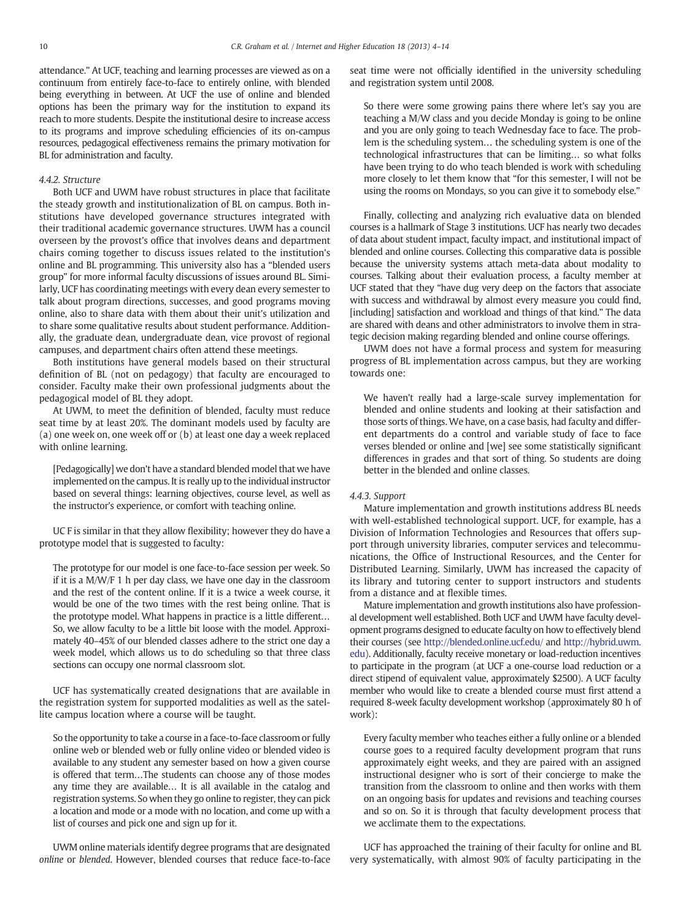attendance." At UCF, teaching and learning processes are viewed as on a continuum from entirely face-to-face to entirely online, with blended being everything in between. At UCF the use of online and blended options has been the primary way for the institution to expand its reach to more students. Despite the institutional desire to increase access to its programs and improve scheduling efficiencies of its on-campus resources, pedagogical effectiveness remains the primary motivation for BL for administration and faculty.

#### 4.4.2. Structure

Both UCF and UWM have robust structures in place that facilitate the steady growth and institutionalization of BL on campus. Both institutions have developed governance structures integrated with their traditional academic governance structures. UWM has a council overseen by the provost's office that involves deans and department chairs coming together to discuss issues related to the institution's online and BL programming. This university also has a "blended users group" for more informal faculty discussions of issues around BL. Similarly, UCF has coordinating meetings with every dean every semester to talk about program directions, successes, and good programs moving online, also to share data with them about their unit's utilization and to share some qualitative results about student performance. Additionally, the graduate dean, undergraduate dean, vice provost of regional campuses, and department chairs often attend these meetings.

Both institutions have general models based on their structural definition of BL (not on pedagogy) that faculty are encouraged to consider. Faculty make their own professional judgments about the pedagogical model of BL they adopt.

At UWM, to meet the definition of blended, faculty must reduce seat time by at least 20%. The dominant models used by faculty are (a) one week on, one week off or (b) at least one day a week replaced with online learning.

[Pedagogically] we don't have a standard blended model that we have implemented on the campus. It is really up to the individual instructor based on several things: learning objectives, course level, as well as the instructor's experience, or comfort with teaching online.

UC F is similar in that they allow flexibility; however they do have a prototype model that is suggested to faculty:

The prototype for our model is one face-to-face session per week. So if it is a M/W/F 1 h per day class, we have one day in the classroom and the rest of the content online. If it is a twice a week course, it would be one of the two times with the rest being online. That is the prototype model. What happens in practice is a little different… So, we allow faculty to be a little bit loose with the model. Approximately 40–45% of our blended classes adhere to the strict one day a week model, which allows us to do scheduling so that three class sections can occupy one normal classroom slot.

UCF has systematically created designations that are available in the registration system for supported modalities as well as the satellite campus location where a course will be taught.

So the opportunity to take a course in a face-to-face classroom or fully online web or blended web or fully online video or blended video is available to any student any semester based on how a given course is offered that term…The students can choose any of those modes any time they are available… It is all available in the catalog and registration systems. So when they go online to register, they can pick a location and mode or a mode with no location, and come up with a list of courses and pick one and sign up for it.

UWM online materials identify degree programs that are designated online or blended. However, blended courses that reduce face-to-face seat time were not officially identified in the university scheduling and registration system until 2008.

So there were some growing pains there where let's say you are teaching a M/W class and you decide Monday is going to be online and you are only going to teach Wednesday face to face. The problem is the scheduling system… the scheduling system is one of the technological infrastructures that can be limiting… so what folks have been trying to do who teach blended is work with scheduling more closely to let them know that "for this semester, I will not be using the rooms on Mondays, so you can give it to somebody else."

Finally, collecting and analyzing rich evaluative data on blended courses is a hallmark of Stage 3 institutions. UCF has nearly two decades of data about student impact, faculty impact, and institutional impact of blended and online courses. Collecting this comparative data is possible because the university systems attach meta-data about modality to courses. Talking about their evaluation process, a faculty member at UCF stated that they "have dug very deep on the factors that associate with success and withdrawal by almost every measure you could find, [including] satisfaction and workload and things of that kind." The data are shared with deans and other administrators to involve them in strategic decision making regarding blended and online course offerings.

UWM does not have a formal process and system for measuring progress of BL implementation across campus, but they are working towards one:

We haven't really had a large-scale survey implementation for blended and online students and looking at their satisfaction and those sorts of things. We have, on a case basis, had faculty and different departments do a control and variable study of face to face verses blended or online and [we] see some statistically significant differences in grades and that sort of thing. So students are doing better in the blended and online classes.

#### 4.4.3. Support

Mature implementation and growth institutions address BL needs with well-established technological support. UCF, for example, has a Division of Information Technologies and Resources that offers support through university libraries, computer services and telecommunications, the Office of Instructional Resources, and the Center for Distributed Learning. Similarly, UWM has increased the capacity of its library and tutoring center to support instructors and students from a distance and at flexible times.

Mature implementation and growth institutions also have professional development well established. Both UCF and UWM have faculty development programs designed to educate faculty on how to effectively blend their courses (see <http://blended.online.ucf.edu/> and [http://hybrid.uwm.](http://hybrid.uwm.edu) [edu\)](http://hybrid.uwm.edu). Additionally, faculty receive monetary or load-reduction incentives to participate in the program (at UCF a one-course load reduction or a direct stipend of equivalent value, approximately \$2500). A UCF faculty member who would like to create a blended course must first attend a required 8-week faculty development workshop (approximately 80 h of work):

Every faculty member who teaches either a fully online or a blended course goes to a required faculty development program that runs approximately eight weeks, and they are paired with an assigned instructional designer who is sort of their concierge to make the transition from the classroom to online and then works with them on an ongoing basis for updates and revisions and teaching courses and so on. So it is through that faculty development process that we acclimate them to the expectations.

UCF has approached the training of their faculty for online and BL very systematically, with almost 90% of faculty participating in the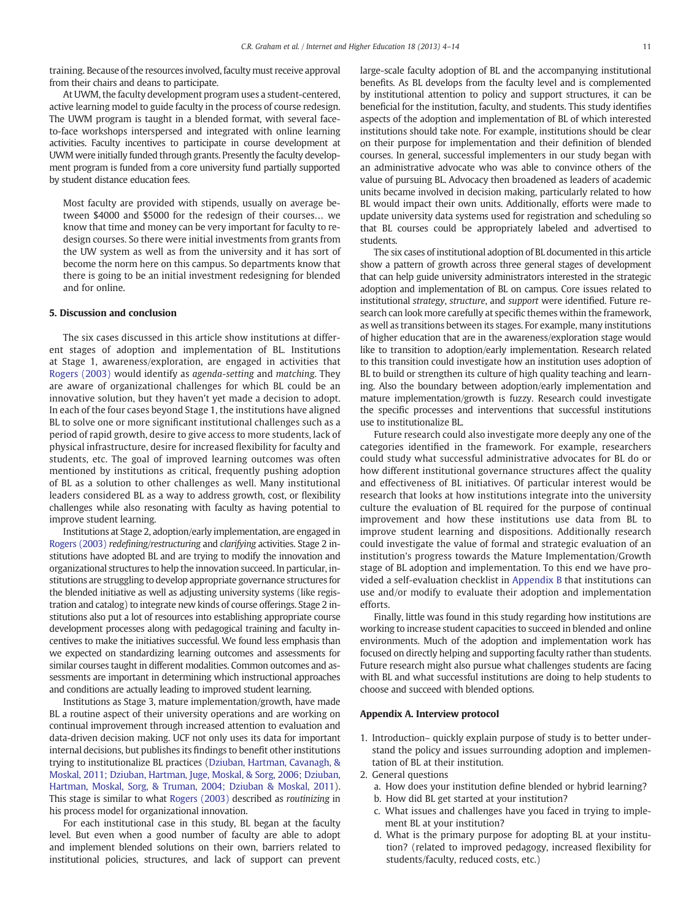<span id="page-7-0"></span>training. Because of the resources involved, faculty must receive approval from their chairs and deans to participate.

At UWM, the faculty development program uses a student-centered, active learning model to guide faculty in the process of course redesign. The UWM program is taught in a blended format, with several faceto-face workshops interspersed and integrated with online learning activities. Faculty incentives to participate in course development at UWM were initially funded through grants. Presently the faculty development program is funded from a core university fund partially supported by student distance education fees.

Most faculty are provided with stipends, usually on average between \$4000 and \$5000 for the redesign of their courses… we know that time and money can be very important for faculty to redesign courses. So there were initial investments from grants from the UW system as well as from the university and it has sort of become the norm here on this campus. So departments know that there is going to be an initial investment redesigning for blended and for online.

# 5. Discussion and conclusion

The six cases discussed in this article show institutions at different stages of adoption and implementation of BL. Institutions at Stage 1, awareness/exploration, are engaged in activities that [Rogers \(2003\)](#page-9-0) would identify as agenda-setting and matching. They are aware of organizational challenges for which BL could be an innovative solution, but they haven't yet made a decision to adopt. In each of the four cases beyond Stage 1, the institutions have aligned BL to solve one or more significant institutional challenges such as a period of rapid growth, desire to give access to more students, lack of physical infrastructure, desire for increased flexibility for faculty and students, etc. The goal of improved learning outcomes was often mentioned by institutions as critical, frequently pushing adoption of BL as a solution to other challenges as well. Many institutional leaders considered BL as a way to address growth, cost, or flexibility challenges while also resonating with faculty as having potential to improve student learning.

Institutions at Stage 2, adoption/early implementation, are engaged in [Rogers \(2003\)](#page-9-0) redefining/restructuring and clarifying activities. Stage 2 institutions have adopted BL and are trying to modify the innovation and organizational structures to help the innovation succeed. In particular, institutions are struggling to develop appropriate governance structures for the blended initiative as well as adjusting university systems (like registration and catalog) to integrate new kinds of course offerings. Stage 2 institutions also put a lot of resources into establishing appropriate course development processes along with pedagogical training and faculty incentives to make the initiatives successful. We found less emphasis than we expected on standardizing learning outcomes and assessments for similar courses taught in different modalities. Common outcomes and assessments are important in determining which instructional approaches and conditions are actually leading to improved student learning.

Institutions as Stage 3, mature implementation/growth, have made BL a routine aspect of their university operations and are working on continual improvement through increased attention to evaluation and data-driven decision making. UCF not only uses its data for important internal decisions, but publishes its findings to benefit other institutions trying to institutionalize BL practices [\(Dziuban, Hartman, Cavanagh, &](#page-9-0) [Moskal, 2011; Dziuban, Hartman, Juge, Moskal, & Sorg, 2006; Dziuban,](#page-9-0) [Hartman, Moskal, Sorg, & Truman, 2004; Dziuban & Moskal, 2011](#page-9-0)). This stage is similar to what [Rogers \(2003\)](#page-9-0) described as routinizing in his process model for organizational innovation.

For each institutional case in this study, BL began at the faculty level. But even when a good number of faculty are able to adopt and implement blended solutions on their own, barriers related to institutional policies, structures, and lack of support can prevent

large-scale faculty adoption of BL and the accompanying institutional benefits. As BL develops from the faculty level and is complemented by institutional attention to policy and support structures, it can be beneficial for the institution, faculty, and students. This study identifies aspects of the adoption and implementation of BL of which interested institutions should take note. For example, institutions should be clear on their purpose for implementation and their definition of blended courses. In general, successful implementers in our study began with an administrative advocate who was able to convince others of the value of pursuing BL. Advocacy then broadened as leaders of academic units became involved in decision making, particularly related to how BL would impact their own units. Additionally, efforts were made to update university data systems used for registration and scheduling so that BL courses could be appropriately labeled and advertised to students.

The six cases of institutional adoption of BL documented in this article show a pattern of growth across three general stages of development that can help guide university administrators interested in the strategic adoption and implementation of BL on campus. Core issues related to institutional strategy, structure, and support were identified. Future research can look more carefully at specific themes within the framework, as well as transitions between its stages. For example, many institutions of higher education that are in the awareness/exploration stage would like to transition to adoption/early implementation. Research related to this transition could investigate how an institution uses adoption of BL to build or strengthen its culture of high quality teaching and learning. Also the boundary between adoption/early implementation and mature implementation/growth is fuzzy. Research could investigate the specific processes and interventions that successful institutions use to institutionalize BL.

Future research could also investigate more deeply any one of the categories identified in the framework. For example, researchers could study what successful administrative advocates for BL do or how different institutional governance structures affect the quality and effectiveness of BL initiatives. Of particular interest would be research that looks at how institutions integrate into the university culture the evaluation of BL required for the purpose of continual improvement and how these institutions use data from BL to improve student learning and dispositions. Additionally research could investigate the value of formal and strategic evaluation of an institution's progress towards the Mature Implementation/Growth stage of BL adoption and implementation. To this end we have provided a self-evaluation checklist in [Appendix B](#page-8-0) that institutions can use and/or modify to evaluate their adoption and implementation efforts.

Finally, little was found in this study regarding how institutions are working to increase student capacities to succeed in blended and online environments. Much of the adoption and implementation work has focused on directly helping and supporting faculty rather than students. Future research might also pursue what challenges students are facing with BL and what successful institutions are doing to help students to choose and succeed with blended options.

#### Appendix A. Interview protocol

- 1. Introduction– quickly explain purpose of study is to better understand the policy and issues surrounding adoption and implementation of BL at their institution.
- 2. General questions
	- a. How does your institution define blended or hybrid learning?
	- b. How did BL get started at your institution?
	- c. What issues and challenges have you faced in trying to implement BL at your institution?
	- d. What is the primary purpose for adopting BL at your institution? (related to improved pedagogy, increased flexibility for students/faculty, reduced costs, etc.)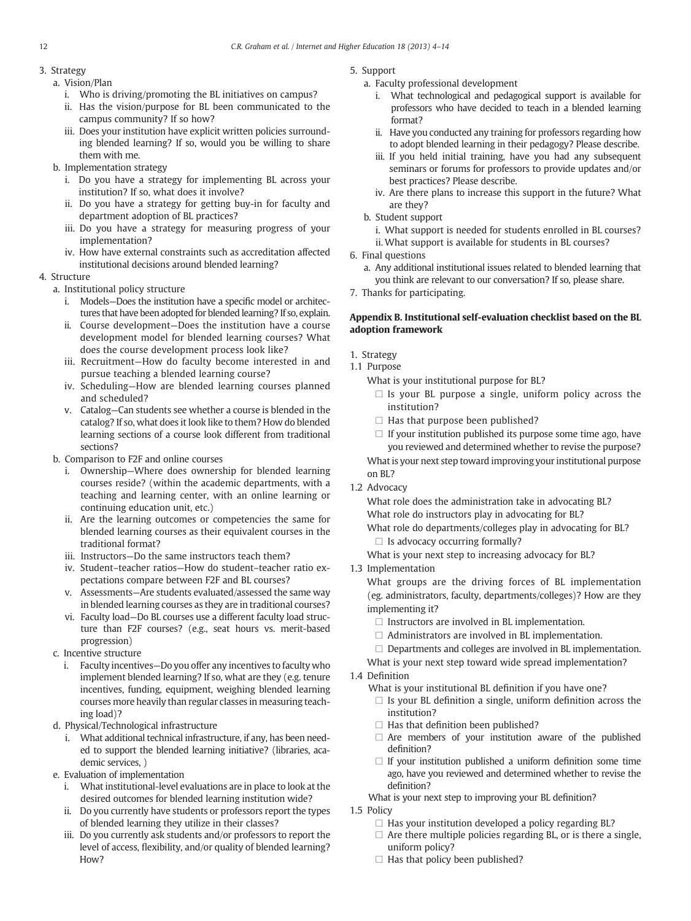- 3. Strategy
	- a. Vision/Plan
		- i. Who is driving/promoting the BL initiatives on campus?
		- ii. Has the vision/purpose for BL been communicated to the campus community? If so how?
		- iii. Does your institution have explicit written policies surrounding blended learning? If so, would you be willing to share them with me.
	- b. Implementation strategy
		- i. Do you have a strategy for implementing BL across your institution? If so, what does it involve?
		- ii. Do you have a strategy for getting buy-in for faculty and department adoption of BL practices?
		- iii. Do you have a strategy for measuring progress of your implementation?
		- iv. How have external constraints such as accreditation affected institutional decisions around blended learning?
- 4. Structure
	- a. Institutional policy structure
		- i. Models—Does the institution have a specific model or architectures that have been adopted for blended learning? If so, explain.
		- ii. Course development—Does the institution have a course development model for blended learning courses? What does the course development process look like?
		- iii. Recruitment—How do faculty become interested in and pursue teaching a blended learning course?
		- iv. Scheduling—How are blended learning courses planned and scheduled?
		- v. Catalog—Can students see whether a course is blended in the catalog? If so, what does it look like to them? How do blended learning sections of a course look different from traditional sections?
	- b. Comparison to F2F and online courses
		- i. Ownership—Where does ownership for blended learning courses reside? (within the academic departments, with a teaching and learning center, with an online learning or continuing education unit, etc.)
		- ii. Are the learning outcomes or competencies the same for blended learning courses as their equivalent courses in the traditional format?
		- iii. Instructors—Do the same instructors teach them?
		- iv. Student–teacher ratios—How do student–teacher ratio expectations compare between F2F and BL courses?
		- v. Assessments—Are students evaluated/assessed the same way in blended learning courses as they are in traditional courses?
		- vi. Faculty load—Do BL courses use a different faculty load structure than F2F courses? (e.g., seat hours vs. merit-based progression)
	- c. Incentive structure
		- i. Faculty incentives—Do you offer any incentives to faculty who implement blended learning? If so, what are they (e.g. tenure incentives, funding, equipment, weighing blended learning courses more heavily than regular classes in measuring teaching load)?
	- d. Physical/Technological infrastructure
		- i. What additional technical infrastructure, if any, has been needed to support the blended learning initiative? (libraries, academic services, )
	- e. Evaluation of implementation
		- i. What institutional-level evaluations are in place to look at the desired outcomes for blended learning institution wide?
		- ii. Do you currently have students or professors report the types of blended learning they utilize in their classes?
		- iii. Do you currently ask students and/or professors to report the level of access, flexibility, and/or quality of blended learning? How?
- 5. Support
	- a. Faculty professional development
		- i. What technological and pedagogical support is available for professors who have decided to teach in a blended learning format?
		- ii. Have you conducted any training for professors regarding how to adopt blended learning in their pedagogy? Please describe.
		- iii. If you held initial training, have you had any subsequent seminars or forums for professors to provide updates and/or best practices? Please describe.
		- iv. Are there plans to increase this support in the future? What are they?
	- b. Student support
		- i. What support is needed for students enrolled in BL courses?
		- ii. What support is available for students in BL courses?
- 6. Final questions
	- a. Any additional institutional issues related to blended learning that you think are relevant to our conversation? If so, please share.
- 7. Thanks for participating.

# Appendix B. Institutional self-evaluation checklist based on the BL adoption framework

- 1. Strategy
- 1.1 Purpose
	- What is your institutional purpose for BL?
		- $\square$  Is your BL purpose a single, uniform policy across the institution?
		- $\Box$  Has that purpose been published?
	- $\square$  If your institution published its purpose some time ago, have you reviewed and determined whether to revise the purpose? What is your next step toward improving your institutional purpose on BL?
- 1.2 Advocacy

What role does the administration take in advocating BL? What role do instructors play in advocating for BL? What role do departments/colleges play in advocating for BL?  $\Box$  Is advocacy occurring formally?

What is your next step to increasing advocacy for BL?

1.3 Implementation

What groups are the driving forces of BL implementation (eg. administrators, faculty, departments/colleges)? How are they implementing it?

- $\square$  Instructors are involved in BL implementation.
- $\Box$  Administrators are involved in BL implementation.
- □ Departments and colleges are involved in BL implementation.

What is your next step toward wide spread implementation?

# 1.4 Definition

- What is your institutional BL definition if you have one?
- $\Box$  Is your BL definition a single, uniform definition across the institution?
- $\square$  Has that definition been published?
- $\square$  Are members of your institution aware of the published definition?
- $\Box$  If your institution published a uniform definition some time ago, have you reviewed and determined whether to revise the definition?

What is your next step to improving your BL definition?

- 1.5 Policy
	- $\Box$  Has your institution developed a policy regarding BL?
	- $\Box$  Are there multiple policies regarding BL, or is there a single, uniform policy?
	- $\Box$  Has that policy been published?

<span id="page-8-0"></span>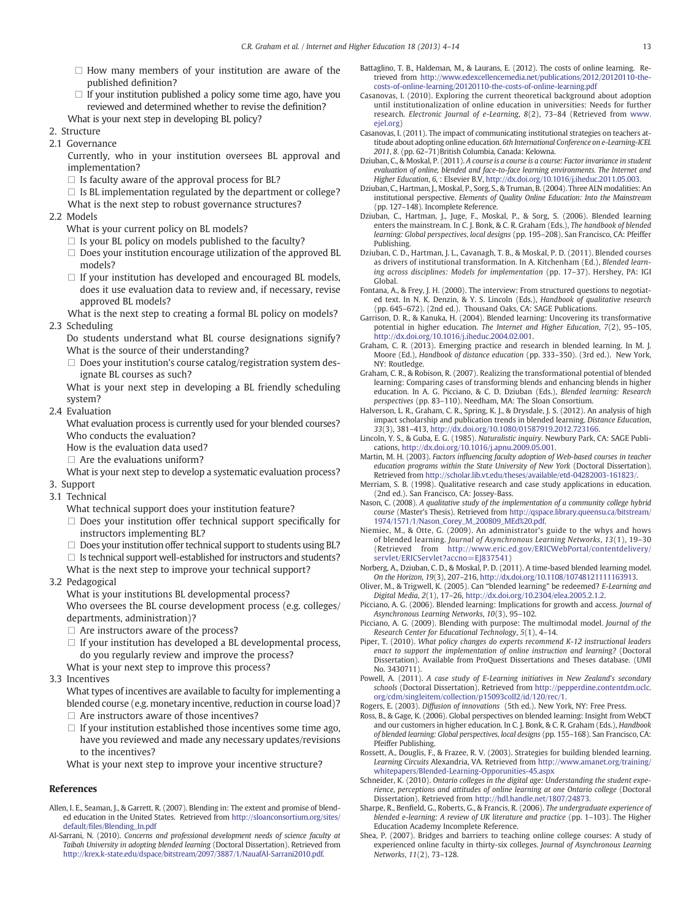- <span id="page-9-0"></span> $\Box$  How many members of your institution are aware of the published definition?
- $\Box$  If your institution published a policy some time ago, have you reviewed and determined whether to revise the definition? What is your next step in developing BL policy?
- 2. Structure
- 2.1 Governance

Currently, who in your institution oversees BL approval and implementation?

 $\square$  Is faculty aware of the approval process for BL?

 $\Box$  Is BL implementation regulated by the department or college? What is the next step to robust governance structures?

2.2 Models

What is your current policy on BL models?

- $\Box$  Is your BL policy on models published to the faculty?
- $\square$  Does your institution encourage utilization of the approved BL models?
- $\square$  If your institution has developed and encouraged BL models, does it use evaluation data to review and, if necessary, revise approved BL models?

What is the next step to creating a formal BL policy on models? 2.3 Scheduling

Do students understand what BL course designations signify? What is the source of their understanding?

 $\square$  Does your institution's course catalog/registration system designate BL courses as such?

What is your next step in developing a BL friendly scheduling system?

2.4 Evaluation

What evaluation process is currently used for your blended courses? Who conducts the evaluation?

How is the evaluation data used?

 $\Box$  Are the evaluations uniform?

What is your next step to develop a systematic evaluation process?

- 3. Support
- 3.1 Technical
	- What technical support does your institution feature?
	- $\square$  Does your institution offer technical support specifically for instructors implementing BL?
	- $\Box$  Does your institution offer technical support to students using BL?
	- $\Box$  Is technical support well-established for instructors and students?

What is the next step to improve your technical support?

3.2 Pedagogical

What is your institutions BL developmental process? Who oversees the BL course development process (e.g. colleges/ departments, administration)?

- $\Box$  Are instructors aware of the process?
- $\square$  If your institution has developed a BL developmental process, do you regularly review and improve the process?

What is your next step to improve this process?

3.3 Incentives

What types of incentives are available to faculty for implementing a blended course (e.g. monetary incentive, reduction in course load)?  $\Box$  Are instructors aware of those incentives?

- 
- $\Box$  If your institution established those incentives some time ago, have you reviewed and made any necessary updates/revisions to the incentives?
- What is your next step to improve your incentive structure?

## References

- Allen, I. E., Seaman, J., & Garrett, R. (2007). Blending in: The extent and promise of blended education in the United States. Retrieved from [http://sloanconsortium.org/sites/](http://sloanconsortium.org/sites/default/files/Blending_In.pdf) default/fi[les/Blending\\_In.pdf](http://sloanconsortium.org/sites/default/files/Blending_In.pdf)
- Al-Sarrani, N. (2010). Concerns and professional development needs of science faculty at Taibah University in adopting blended learning (Doctoral Dissertation). Retrieved from <http://krex.k-state.edu/dspace/bitstream/2097/3887/1/NauafAl-Sarrani2010.pdf>.
- Battaglino, T. B., Haldeman, M., & Laurans, E. (2012). The costs of online learning. Retrieved from [http://www.edexcellencemedia.net/publications/2012/20120110-the](http://www.edexcellencemedia.net/publications/2012/20120110-the-costs-of-online-learning/20120110-the-costs-of-online-learning.pdf)[costs-of-online-learning/20120110-the-costs-of-online-learning.pdf](http://www.edexcellencemedia.net/publications/2012/20120110-the-costs-of-online-learning/20120110-the-costs-of-online-learning.pdf)
- Casanovas, I. (2010). Exploring the current theoretical background about adoption until institutionalization of online education in universities: Needs for further research. Electronic Journal of e-Learning, 8(2), 73–84 (Retrieved from [www.](http://www.ejel.org) [ejel.org\)](http://www.ejel.org)
- Casanovas, I. (2011). The impact of communicating institutional strategies on teachers attitude about adopting online education. 6th International Conference on e-Learning-ICEL 2011, 8. (pp. 62–71)British Columbia, Canada: Kelowna.
- Dziuban, C., & Moskal, P. (2011). A course is a course is a course: Factor invariance in student evaluation of online, blended and face-to-face learning environments. The Internet and Higher Education, 6, : Elsevier B.V, http://dx.doi.org[/10.1016/j.iheduc.2011.05.003](http://dx.doi.org/10.1016/j.iheduc.2011.05.003).
- Dziuban, C., Hartman, J., Moskal, P., Sorg, S., & Truman, B. (2004). Three ALN modalities: An institutional perspective. Elements of Quality Online Education: Into the Mainstream (pp. 127–148). Incomplete Reference.
- Dziuban, C., Hartman, J., Juge, F., Moskal, P., & Sorg, S. (2006). Blended learning enters the mainstream. In C. J. Bonk, & C. R. Graham (Eds.), The handbook of blended learning: Global perspectives, local designs (pp. 195–208). San Francisco, CA: Pfeiffer Publishing.
- Dziuban, C. D., Hartman, J. L., Cavanagh, T. B., & Moskal, P. D. (2011). Blended courses as drivers of institutional transformation. In A. Kitchenham (Ed.), Blended learning across disciplines: Models for implementation (pp. 17–37). Hershey, PA: IGI Global.
- Fontana, A., & Frey, J. H. (2000). The interview: From structured questions to negotiated text. In N. K. Denzin, & Y. S. Lincoln (Eds.), Handbook of qualitative research (pp. 645–672). (2nd ed.). Thousand Oaks, CA: SAGE Publications.
- Garrison, D. R., & Kanuka, H. (2004). Blended learning: Uncovering its transformative potential in higher education. The Internet and Higher Education, 7(2), 95–105, http://dx.doi.org/[10.1016/j.iheduc.2004.02.001](http://dx.doi.org/10.1016/j.iheduc.2004.02.001).
- Graham, C. R. (2013). Emerging practice and research in blended learning. In M. J. Moore (Ed.), Handbook of distance education (pp. 333–350). (3rd ed.). New York, NY: Routledge.
- Graham, C. R., & Robison, R. (2007). Realizing the transformational potential of blended learning: Comparing cases of transforming blends and enhancing blends in higher education. In A. G. Picciano, & C. D. Dziuban (Eds.), Blended learning: Research perspectives (pp. 83–110). Needham, MA: The Sloan Consortium.
- Halverson, L. R., Graham, C. R., Spring, K. J., & Drysdale, J. S. (2012). An analysis of high impact scholarship and publication trends in blended learning. Distance Education, 33(3), 381–413, http://dx.doi.org/[10.1080/01587919.2012.723166](http://dx.doi.org/10.1080/01587919.2012.723166).

Lincoln, Y. S., & Guba, E. G. (1985). Naturalistic inquiry. Newbury Park, CA: SAGE Publications, http://dx.doi.org/[10.1016/j.apnu.2009.05.001](http://dx.doi.org/10.1016/j.apnu.2009.05.001).

- Martin, M. H. (2003). Factors influencing faculty adoption of Web-based courses in teacher education programs within the State University of New York (Doctoral Dissertation). Retrieved from [http://scholar.lib.vt.edu/theses/available/etd-04282003-161823/.](http://scholar.lib.vt.edu/theses/available/etd-04282003-161823/)
- Merriam, S. B. (1998). Qualitative research and case study applications in education. (2nd ed.). San Francisco, CA: Jossey-Bass.
- Nason, C. (2008). A qualitative study of the implementation of a community college hybrid course (Master's Thesis). Retrieved from [http://qspace.library.queensu.ca/bitstream/](http://qspace.library.queensu.ca/bitstream/1974/1571/1/Nason_Corey_M_200809_MEd%20.pdf) [1974/1571/1/Nason\\_Corey\\_M\\_200809\\_MEd%20.pdf.](http://qspace.library.queensu.ca/bitstream/1974/1571/1/Nason_Corey_M_200809_MEd%20.pdf)
- Niemiec, M., & Otte, G. (2009). An administrator's guide to the whys and hows of blended learning. Journal of Asynchronous Learning Networks, 13(1), 19–30 (Retrieved from [http://www.eric.ed.gov/ERICWebPortal/contentdelivery/](http://www.eric.ed.gov/ERICWebPortal/contentdelivery/servlet/ERICServlet?accno=EJ837541) [servlet/ERICServlet?accno=EJ837541\)](http://www.eric.ed.gov/ERICWebPortal/contentdelivery/servlet/ERICServlet?accno=EJ837541)
- Norberg, A., Dziuban, C. D., & Moskal, P. D. (2011). A time-based blended learning model. On the Horizon, 19(3), 207–216, http://dx.doi.org/[10.1108/10748121111163913.](http://dx.doi.org/10.1108/10748121111163913)
- Oliver, M., & Trigwell, K. (2005). Can "blended learning" be redeemed? E-Learning and Digital Media, 2(1), 17–26, http://dx.doi.org[/10.2304/elea.2005.2.1.2.](http://dx.doi.org/10.2304/elea.2005.2.1.2)
- Picciano, A. G. (2006). Blended learning: Implications for growth and access. Journal of Asynchronous Learning Networks, 10(3), 95–102.
- Picciano, A. G. (2009). Blending with purpose: The multimodal model. Journal of the Research Center for Educational Technology, 5(1), 4–14.
- Piper, T. (2010). What policy changes do experts recommend K-12 instructional leaders enact to support the implementation of online instruction and learning? (Doctoral Dissertation). Available from ProQuest Dissertations and Theses database. (UMI No. 3430711).
- Powell, A. (2011). A case study of E-Learning initiatives in New Zealand's secondary schools (Doctoral Dissertation). Retrieved from [http://pepperdine.contentdm.oclc.](http://pepperdine.contentdm.oclc.org/cdm/singleitem/collection/p15093coll2/id/120/rec/1) [org/cdm/singleitem/collection/p15093coll2/id/120/rec/1](http://pepperdine.contentdm.oclc.org/cdm/singleitem/collection/p15093coll2/id/120/rec/1).

Rogers, E. (2003). Diffusion of innovations (5th ed.). New York, NY: Free Press.

- Ross, B., & Gage, K. (2006). Global perspectives on blended learning: Insight from WebCT and our customers in higher education. In C. J. Bonk, & C. R. Graham (Eds.), Handbook of blended learning: Global perspectives, local designs (pp. 155–168). San Francisco, CA: Pfeiffer Publishing.
- Rossett, A., Douglis, F., & Frazee, R. V. (2003). Strategies for building blended learning. Learning Circuits Alexandria, VA. Retrieved from [http://www.amanet.org/training/](http://www.amanet.org/training/whitepapers/Blended-Learning-Opporunities-45.aspx) [whitepapers/Blended-Learning-Opporunities-45.aspx](http://www.amanet.org/training/whitepapers/Blended-Learning-Opporunities-45.aspx)
- Schneider, K. (2010). Ontario colleges in the digital age: Understanding the student experience, perceptions and attitudes of online learning at one Ontario college (Doctoral Dissertation). Retrieved from <http://hdl.handle.net/1807/24873>.
- Sharpe, R., Benfield, G., Roberts, G., & Francis, R. (2006). The undergraduate experience of blended e-learning: A review of UK literature and practice (pp. 1–103). The Higher Education Academy Incomplete Reference.
- Shea, P. (2007). Bridges and barriers to teaching online college courses: A study of experienced online faculty in thirty-six colleges. Journal of Asynchronous Learning Networks, 11(2), 73–128.